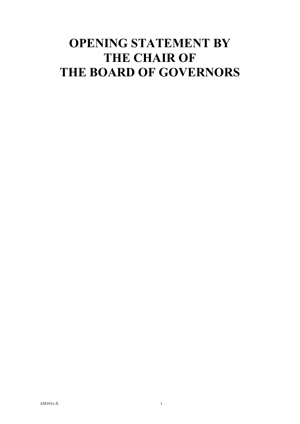## **OPENING STATEMENT BY THE CHAIR OF THE BOARD OF GOVERNORS**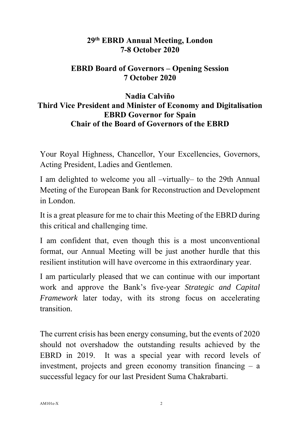## **29th EBRD Annual Meeting, London 7-8 October 2020**

## **EBRD Board of Governors – Opening Session 7 October 2020**

## **Nadia Calviño Third Vice President and Minister of Economy and Digitalisation EBRD Governor for Spain Chair of the Board of Governors of the EBRD**

Your Royal Highness, Chancellor, Your Excellencies, Governors, Acting President, Ladies and Gentlemen.

I am delighted to welcome you all –virtually– to the 29th Annual Meeting of the European Bank for Reconstruction and Development in London.

It is a great pleasure for me to chair this Meeting of the EBRD during this critical and challenging time.

I am confident that, even though this is a most unconventional format, our Annual Meeting will be just another hurdle that this resilient institution will have overcome in this extraordinary year.

I am particularly pleased that we can continue with our important work and approve the Bank's five-year *Strategic and Capital Framework* later today, with its strong focus on accelerating transition.

The current crisis has been energy consuming, but the events of 2020 should not overshadow the outstanding results achieved by the EBRD in 2019. It was a special year with record levels of investment, projects and green economy transition financing  $-$  a successful legacy for our last President Suma Chakrabarti.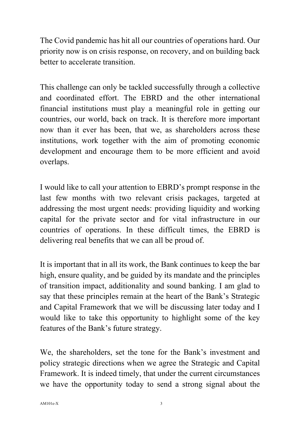The Covid pandemic has hit all our countries of operations hard. Our priority now is on crisis response, on recovery, and on building back better to accelerate transition.

This challenge can only be tackled successfully through a collective and coordinated effort. The EBRD and the other international financial institutions must play a meaningful role in getting our countries, our world, back on track. It is therefore more important now than it ever has been, that we, as shareholders across these institutions, work together with the aim of promoting economic development and encourage them to be more efficient and avoid overlaps.

I would like to call your attention to EBRD's prompt response in the last few months with two relevant crisis packages, targeted at addressing the most urgent needs: providing liquidity and working capital for the private sector and for vital infrastructure in our countries of operations. In these difficult times, the EBRD is delivering real benefits that we can all be proud of.

It is important that in all its work, the Bank continues to keep the bar high, ensure quality, and be guided by its mandate and the principles of transition impact, additionality and sound banking. I am glad to say that these principles remain at the heart of the Bank's Strategic and Capital Framework that we will be discussing later today and I would like to take this opportunity to highlight some of the key features of the Bank's future strategy.

We, the shareholders, set the tone for the Bank's investment and policy strategic directions when we agree the Strategic and Capital Framework. It is indeed timely, that under the current circumstances we have the opportunity today to send a strong signal about the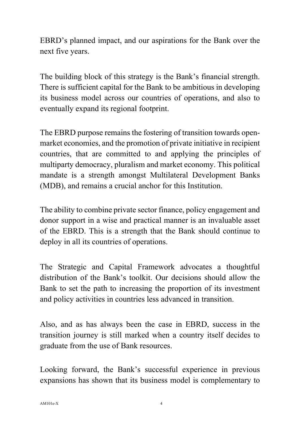EBRD's planned impact, and our aspirations for the Bank over the next five years.

The building block of this strategy is the Bank's financial strength. There is sufficient capital for the Bank to be ambitious in developing its business model across our countries of operations, and also to eventually expand its regional footprint.

The EBRD purpose remains the fostering of transition towards openmarket economies, and the promotion of private initiative in recipient countries, that are committed to and applying the principles of multiparty democracy, pluralism and market economy. This political mandate is a strength amongst Multilateral Development Banks (MDB), and remains a crucial anchor for this Institution.

The ability to combine private sector finance, policy engagement and donor support in a wise and practical manner is an invaluable asset of the EBRD. This is a strength that the Bank should continue to deploy in all its countries of operations.

The Strategic and Capital Framework advocates a thoughtful distribution of the Bank's toolkit. Our decisions should allow the Bank to set the path to increasing the proportion of its investment and policy activities in countries less advanced in transition.

Also, and as has always been the case in EBRD, success in the transition journey is still marked when a country itself decides to graduate from the use of Bank resources.

Looking forward, the Bank's successful experience in previous expansions has shown that its business model is complementary to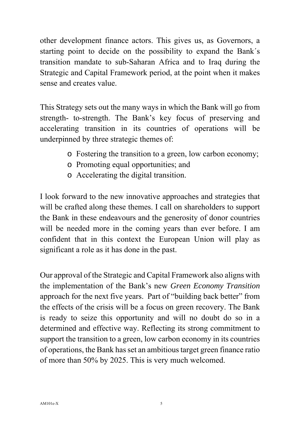other development finance actors. This gives us, as Governors, a starting point to decide on the possibility to expand the Bank´s transition mandate to sub-Saharan Africa and to Iraq during the Strategic and Capital Framework period, at the point when it makes sense and creates value.

This Strategy sets out the many ways in which the Bank will go from strength- to-strength. The Bank's key focus of preserving and accelerating transition in its countries of operations will be underpinned by three strategic themes of:

- o Fostering the transition to a green, low carbon economy;
- o Promoting equal opportunities; and
- o Accelerating the digital transition.

I look forward to the new innovative approaches and strategies that will be crafted along these themes. I call on shareholders to support the Bank in these endeavours and the generosity of donor countries will be needed more in the coming years than ever before. I am confident that in this context the European Union will play as significant a role as it has done in the past.

Our approval of the Strategic and Capital Framework also aligns with the implementation of the Bank's new *Green Economy Transition*  approach for the next five years. Part of "building back better" from the effects of the crisis will be a focus on green recovery. The Bank is ready to seize this opportunity and will no doubt do so in a determined and effective way. Reflecting its strong commitment to support the transition to a green, low carbon economy in its countries of operations, the Bank has set an ambitious target green finance ratio of more than 50% by 2025. This is very much welcomed.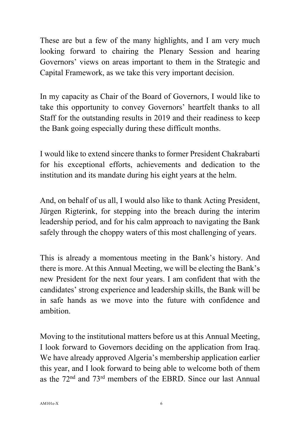These are but a few of the many highlights, and I am very much looking forward to chairing the Plenary Session and hearing Governors' views on areas important to them in the Strategic and Capital Framework, as we take this very important decision.

In my capacity as Chair of the Board of Governors, I would like to take this opportunity to convey Governors' heartfelt thanks to all Staff for the outstanding results in 2019 and their readiness to keep the Bank going especially during these difficult months.

I would like to extend sincere thanks to former President Chakrabarti for his exceptional efforts, achievements and dedication to the institution and its mandate during his eight years at the helm.

And, on behalf of us all, I would also like to thank Acting President, Jürgen Rigterink, for stepping into the breach during the interim leadership period, and for his calm approach to navigating the Bank safely through the choppy waters of this most challenging of years.

This is already a momentous meeting in the Bank's history. And there is more. At this Annual Meeting, we will be electing the Bank's new President for the next four years. I am confident that with the candidates' strong experience and leadership skills, the Bank will be in safe hands as we move into the future with confidence and ambition.

Moving to the institutional matters before us at this Annual Meeting, I look forward to Governors deciding on the application from Iraq. We have already approved Algeria's membership application earlier this year, and I look forward to being able to welcome both of them as the 72nd and 73rd members of the EBRD. Since our last Annual